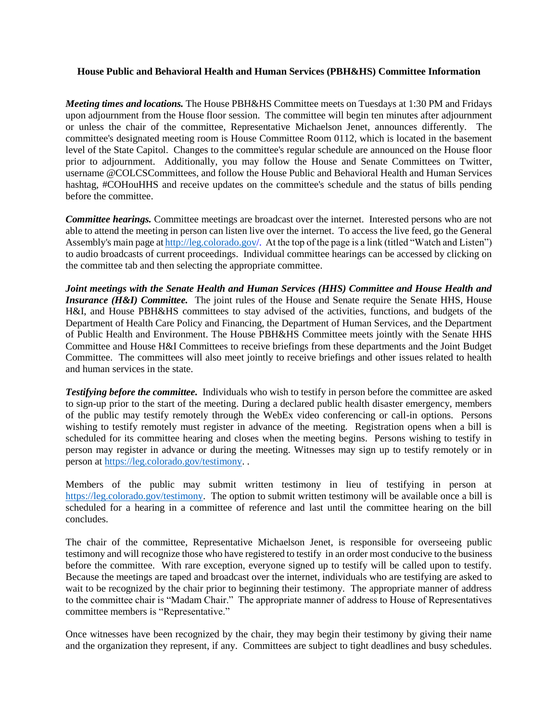## **House Public and Behavioral Health and Human Services (PBH&HS) Committee Information**

*Meeting times and locations.* The House PBH&HS Committee meets on Tuesdays at 1:30 PM and Fridays upon adjournment from the House floor session. The committee will begin ten minutes after adjournment or unless the chair of the committee, Representative Michaelson Jenet, announces differently. The committee's designated meeting room is House Committee Room 0112, which is located in the basement level of the State Capitol. Changes to the committee's regular schedule are announced on the House floor prior to adjournment. Additionally, you may follow the House and Senate Committees on Twitter, username @COLCSCommittees, and follow the House Public and Behavioral Health and Human Services hashtag, #COHouHHS and receive updates on the committee's schedule and the status of bills pending before the committee.

*Committee hearings.* Committee meetings are broadcast over the internet. Interested persons who are not able to attend the meeting in person can listen live over the internet. To access the live feed, go the General Assembly's main page at <http://leg.colorado.gov/>. At the top of the page is a link (titled "Watch and Listen") to audio broadcasts of current proceedings. Individual committee hearings can be accessed by clicking on the committee tab and then selecting the appropriate committee.

*Joint meetings with the Senate Health and Human Services (HHS) Committee and House Health and Insurance (H&I) Committee.* The joint rules of the House and Senate require the Senate HHS, House H&I, and House PBH&HS committees to stay advised of the activities, functions, and budgets of the Department of Health Care Policy and Financing, the Department of Human Services, and the Department of Public Health and Environment. The House PBH&HS Committee meets jointly with the Senate HHS Committee and House H&I Committees to receive briefings from these departments and the Joint Budget Committee. The committees will also meet jointly to receive briefings and other issues related to health and human services in the state.

**Testifying before the committee.** Individuals who wish to testify in person before the committee are asked to sign-up prior to the start of the meeting. During a declared public health disaster emergency, members of the public may testify remotely through the WebEx video conferencing or call-in options. Persons wishing to testify remotely must register in advance of the meeting. Registration opens when a bill is scheduled for its committee hearing and closes when the meeting begins. Persons wishing to testify in person may register in advance or during the meeting. Witnesses may sign up to testify remotely or in person at [https://leg.colorado.gov/testimony.](https://leg.colorado.gov/testimony) .

Members of the public may submit written testimony in lieu of testifying in person at [https://leg.colorado.gov/testimony.](https://leg.colorado.gov/testimony) The option to submit written testimony will be available once a bill is scheduled for a hearing in a committee of reference and last until the committee hearing on the bill concludes.

The chair of the committee, Representative Michaelson Jenet, is responsible for overseeing public testimony and will recognize those who have registered to testify in an order most conducive to the business before the committee. With rare exception, everyone signed up to testify will be called upon to testify. Because the meetings are taped and broadcast over the internet, individuals who are testifying are asked to wait to be recognized by the chair prior to beginning their testimony. The appropriate manner of address to the committee chair is "Madam Chair." The appropriate manner of address to House of Representatives committee members is "Representative."

Once witnesses have been recognized by the chair, they may begin their testimony by giving their name and the organization they represent, if any. Committees are subject to tight deadlines and busy schedules.